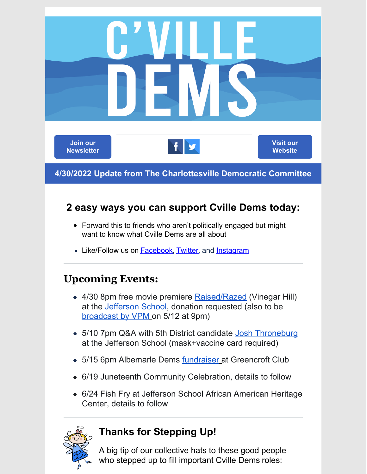

# **Thanks for Stepping Up!**

A big tip of our collective hats to these good people who stepped up to fill important Cville Dems roles: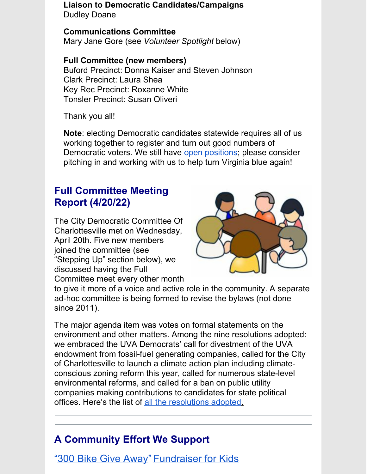#### **Liaison to Democratic Candidates/Campaigns** Dudley Doane

**Communications Committee** Mary Jane Gore (see *Volunteer Spotlight* below)

#### **Full Committee (new members)**

Buford Precinct: Donna Kaiser and Steven Johnson Clark Precinct: Laura Shea Key Rec Precinct: Roxanne White Tonsler Precinct: Susan Oliveri

Thank you all!

**Note**: electing Democratic candidates statewide requires all of us working together to register and turn out good numbers of Democratic voters. We still have open [positions](https://cvilledems.org/volunteer-opportunities/open-positions); please consider pitching in and working with us to help turn Virginia blue again!

## **Full Committee Meeting Report (4/20/22)**

The City Democratic Committee Of Charlottesville met on Wednesday, April 20th. Five new members joined the committee (see "Stepping Up" section below), we discussed having the Full Committee meet every other month



to give it more of a voice and active role in the community. A separate ad-hoc committee is being formed to revise the bylaws (not done since 2011).

The major agenda item was votes on formal statements on the environment and other matters. Among the nine resolutions adopted: we embraced the UVA Democrats' call for divestment of the UVA endowment from fossil-fuel generating companies, called for the City of Charlottesville to launch a climate action plan including climateconscious zoning reform this year, called for numerous state-level environmental reforms, and called for a ban on public utility companies making contributions to candidates for state political offices. Here's the list of all the [resolutions](https://cvilledems.org/homepage/environmental-resolutions-approved) adopted.

# **A Community Effort We Support**

["](https://www.gofundme.com/f/300-bike-giveaway-every-kid-deserves-a-bike?utm_campaign=m_pd+share-sheet&utm_medium=copy_link_all&utm_source=customer)300 Bike Give [Away"](https://www.gofundme.com/f/300-bike-giveaway-every-kid-deserves-a-bike?utm_campaign=m_pd+share-sheet&utm_medium=copy_link_all&utm_source=customer) [Fundraiser](https://www.gofundme.com/f/300-bike-giveaway-every-kid-deserves-a-bike?utm_campaign=m_pd+share-sheet&utm_medium=copy_link_all&utm_source=customer) for Kids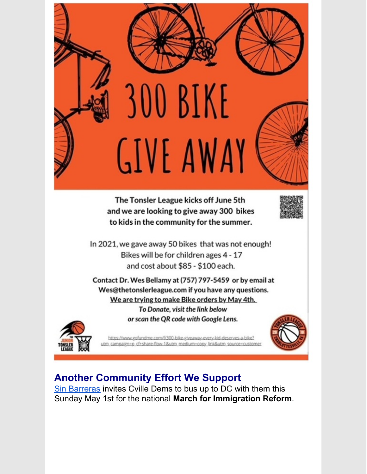

The Tonsler League kicks off June 5th and we are looking to give away 300 bikes to kids in the community for the summer.



In 2021, we gave away 50 bikes that was not enough! Bikes will be for children ages 4 - 17 and cost about \$85 - \$100 each.

Contact Dr. Wes Bellamy at (757) 797-5459 or by email at Wes@thetonslerleague.com if you have any questions. We are trying to make Bike orders by May 4th. To Donate, visit the link below or scan the QR code with Google Lens.



https://www.gofundme.com/f/300-bike-giveaway-every-kid-deserves-a-bike? utm\_campaign=p\_cf+share-flow-18utm\_medium=copy\_link8utm\_source=custom

## **Another Community Effort We Support**

Sin [Barreras](https://sinbarrerascville.com/) invites Cville Dems to bus up to DC with them this Sunday May 1st for the national **March for Immigration Reform**.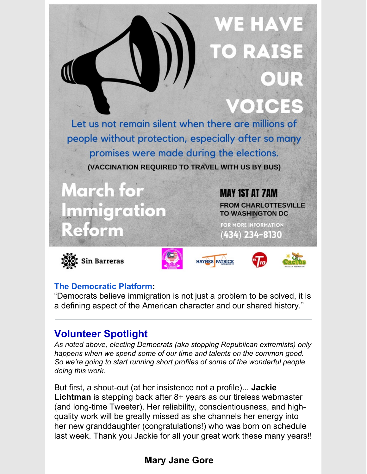

**Sin Barreras** 

Reform







**TO WASHINGTON DC** FOR MORE INFORMATION

(434) 234-8130

# **The [Democratic](https://democrats.org/where-we-stand/the-issues/immigration-reform/) Platform:**

"Democrats believe immigration is not just a problem to be solved, it is a defining aspect of the American character and our shared history."

## **Volunteer Spotlight**

*As noted above, electing Democrats (aka stopping Republican extremists) only happens when we spend some of our time and talents on the common good. So we're going to start running short profiles of some of the wonderful people doing this work.*

But first, a shout-out (at her insistence not a profile)... **Jackie Lichtman** is stepping back after 8+ years as our tireless webmaster (and long-time Tweeter). Her reliability, conscientiousness, and highquality work will be greatly missed as she channels her energy into her new granddaughter (congratulations!) who was born on schedule last week. Thank you Jackie for all your great work these many years!!

## **Mary Jane Gore**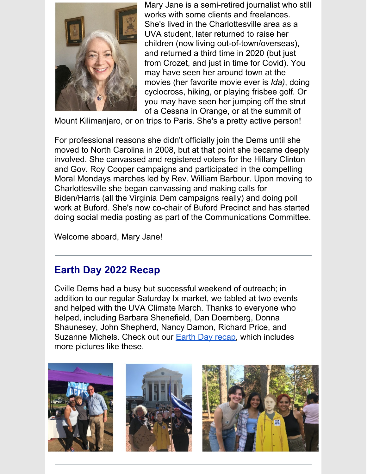

Mary Jane is a semi-retired journalist who still works with some clients and freelances. She's lived in the Charlottesville area as a UVA student, later returned to raise her children (now living out-of-town/overseas), and returned a third time in 2020 (but just from Crozet, and just in time for Covid). You may have seen her around town at the movies (her favorite movie ever is *Ida)*, doing cyclocross, hiking, or playing frisbee golf. Or you may have seen her jumping off the strut of a Cessna in Orange, or at the summit of

Mount Kilimanjaro, or on trips to Paris. She's a pretty active person!

For professional reasons she didn't officially join the Dems until she moved to North Carolina in 2008, but at that point she became deeply involved. She canvassed and registered voters for the Hillary Clinton and Gov. Roy Cooper campaigns and participated in the compelling Moral Mondays marches led by Rev. William Barbour. Upon moving to Charlottesville she began canvassing and making calls for Biden/Harris (all the Virginia Dem campaigns really) and doing poll work at Buford. She's now co-chair of Buford Precinct and has started doing social media posting as part of the Communications Committee.

Welcome aboard, Mary Jane!

## **Earth Day 2022 Recap**

Cville Dems had a busy but successful weekend of outreach; in addition to our regular Saturday Ix market, we tabled at two events and helped with the UVA Climate March. Thanks to everyone who helped, including Barbara Shenefield, Dan Doernberg, Donna Shaunesey, John Shepherd, Nancy Damon, Richard Price, and Suzanne Michels. Check out our Earth Day [recap](https://cvilledems.org/earth-day-2002-recap), which includes more pictures like these.





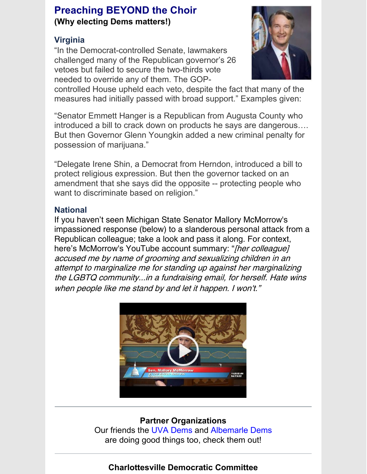## **Preaching BEYOND the Choir (Why electing Dems matters!)**

#### **Virginia**

"In the Democrat-controlled Senate, lawmakers challenged many of the Republican governor's 26 vetoes but failed to secure the two-thirds vote needed to override any of them. The GOP-



controlled House upheld each veto, despite the fact that many of the measures had initially passed with broad support." Examples given:

"Senator Emmett Hanger is a Republican from Augusta County who introduced a bill to crack down on products he says are dangerous…. But then Governor Glenn Youngkin added a new criminal penalty for possession of marijuana."

"Delegate Irene Shin, a Democrat from Herndon, introduced a bill to protect religious expression. But then the governor tacked on an amendment that she says did the opposite -- protecting people who want to discriminate based on religion."

#### **National**

If you haven't seen Michigan State Senator Mallory McMorrow's impassioned response (below) to a slanderous personal attack from a Republican colleague; take a look and pass it along. For context, here's McMorrow's YouTube account summary: "[her colleague] accused me by name of grooming and sexualizing children in an attempt to marginalize me for standing up against her marginalizing the LGBTQ community...in <sup>a</sup> fundraising email, for herself. Hate wins when people like me stand by and let it happen. I won't."



#### **P[ar](https://www.instagram.com/demsatuva/)tner Organizations** Our friends the UVA [Dems](https://www.instagram.com/demsatuva/) and [Albemarle](https://albemarledems.org/) Dems are doing good things too, check them out!

### **Charlottesville Democratic Committee**